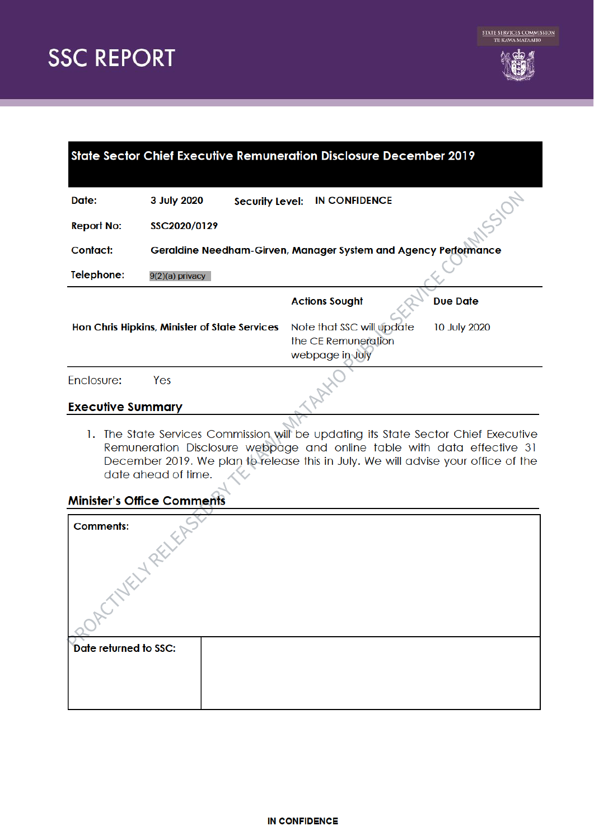

| <b>State Sector Chief Executive Remuneration Disclosure December 2019</b> |                                                                 |                                                                     |                 |  |  |
|---------------------------------------------------------------------------|-----------------------------------------------------------------|---------------------------------------------------------------------|-----------------|--|--|
| Date:                                                                     | 3 July 2020<br><b>Security Level:</b>                           | <b>IN CONFIDENCE</b>                                                |                 |  |  |
| <b>Report No:</b>                                                         | SSC2020/0129                                                    |                                                                     |                 |  |  |
| Contact:                                                                  | Geraldine Needham-Girven, Manager System and Agency Performance |                                                                     |                 |  |  |
| Telephone:                                                                | 9(2)(a) privacy                                                 |                                                                     |                 |  |  |
|                                                                           |                                                                 | <b>Actions Sought</b>                                               | <b>Due Date</b> |  |  |
|                                                                           | Hon Chris Hipkins, Minister of State Services                   | Note that SSC will update<br>the CE Remuneration<br>webpage in July | 10 July 2020    |  |  |
| Enclosure:                                                                | Yes                                                             |                                                                     |                 |  |  |
| <b>Executive Summary</b>                                                  |                                                                 |                                                                     |                 |  |  |

1. The State Services Commission will be updating its State Sector Chief Executive Remuneration Disclosure webpage and online table with data effective 31 December 2019. We plan to release this in July. We will advise your office of the date ahead of time.

### **Minister's Office Comments**

| <b>Comments:</b>      |  |  |  |  |
|-----------------------|--|--|--|--|
|                       |  |  |  |  |
| Date returned to SSC: |  |  |  |  |
|                       |  |  |  |  |
|                       |  |  |  |  |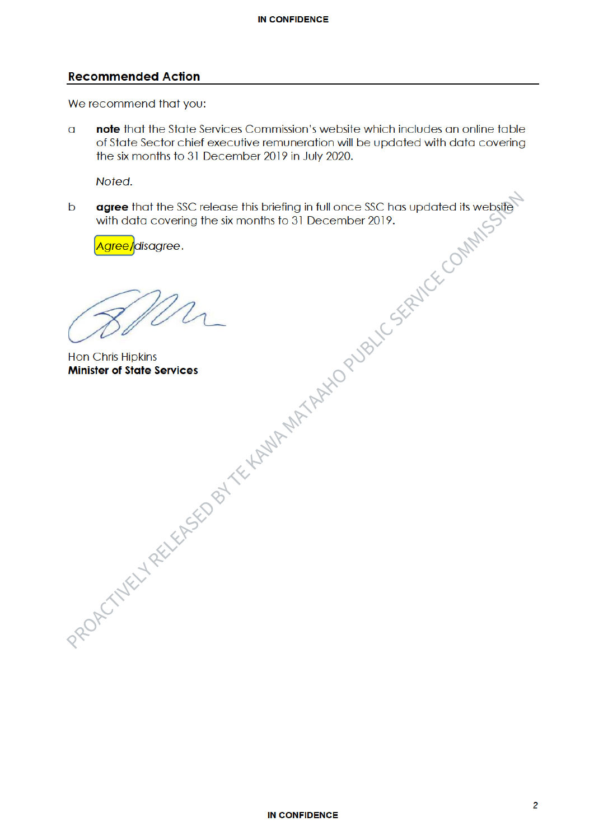### **Recommended Action**

We recommend that you:

note that the State Services Commission's website which includes an online table  $\overline{a}$ of State Sector chief executive remuneration will be updated with data covering the six months to 31 December 2019 in July 2020.

Noted.

PROPECTIVE LY FIRE YOU GOT ONLY THE MAIN MATTER TO OUTSIDE SCRIPTION WITH MANY agree that the SSC release this briefing in full once SSC has updated its website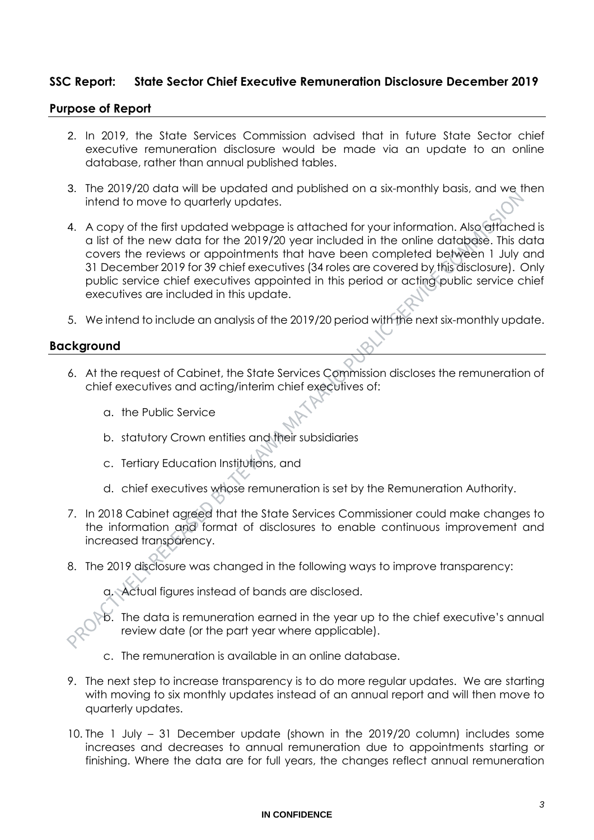### **SSC Report: State Sector Chief Executive Remuneration Disclosure December 2019**

### **Purpose of Report**

- 2. In 2019, the State Services Commission advised that in future State Sector chief executive remuneration disclosure would be made via an update to an online database, rather than annual published tables.
- 3. The 2019/20 data will be updated and published on a six-monthly basis, and we then intend to move to quarterly updates.
- 4. A copy of the first updated webpage is attached for your information. Also attached is a list of the new data for the 2019/20 year included in the online database. This data covers the reviews or appointments that have been completed between 1 July and 31 December 2019 for 39 chief executives (34 roles are covered by this disclosure). Only public service chief executives appointed in this period or acting public service chief executives are included in this update.
- 5. We intend to include an analysis of the 2019/20 period with the next six-monthly update.

### **Background**

- 6. At the request of Cabinet, the State Services Commission discloses the remuneration of chief executives and acting/interim chief executives of:
	- a. the Public Service
	- b. statutory Crown entities and their subsidiaries
	- c. Tertiary Education Institutions, and
	- d. chief executives whose remuneration is set by the Remuneration Authority.
- 7. In 2018 Cabinet agreed that the State Services Commissioner could make changes to the information and format of disclosures to enable continuous improvement and increased transparency.
- 8. The 2019 disclosure was changed in the following ways to improve transparency:

a. Actual figures instead of bands are disclosed.

b. The data is remuneration earned in the year up to the chief executive's annual review date (or the part year where applicable).

- c. The remuneration is available in an online database.
- 9. The next step to increase transparency is to do more regular updates. We are starting with moving to six monthly updates instead of an annual report and will then move to quarterly updates.
- 10. The 1 July 31 December update (shown in the 2019/20 column) includes some increases and decreases to annual remuneration due to appointments starting or finishing. Where the data are for full years, the changes reflect annual remuneration

### **IN CONFIDENCE**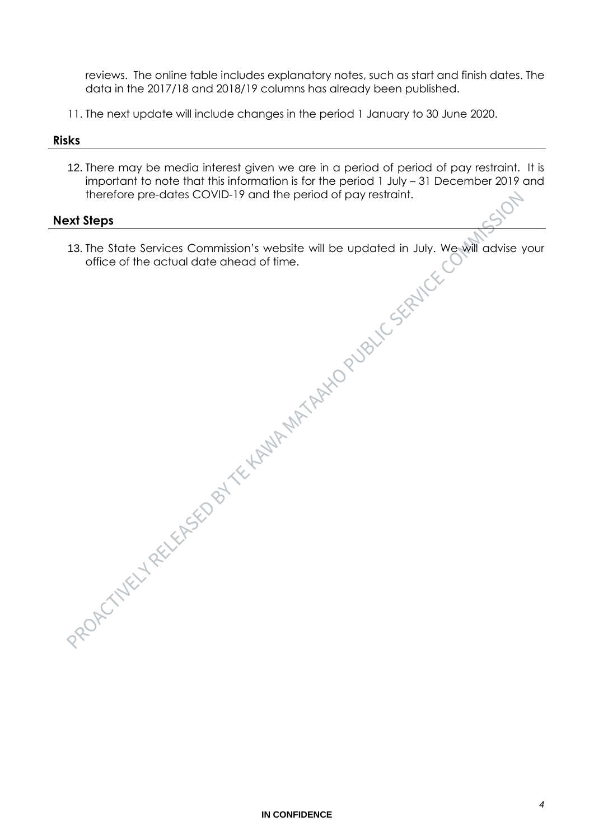reviews. The online table includes explanatory notes, such as start and finish dates. The data in the 2017/18 and 2018/19 columns has already been published.

11. The next update will include changes in the period 1 January to 30 June 2020.

### **Risks**

12. There may be media interest given we are in a period of period of pay restraint. It is important to note that this information is for the period 1 July – 31 December 2019 and therefore pre-dates COVID-19 and the period of pay restraint.

### **Next Steps**

13. The State Services Commission's website will be updated in July. We will advise your office of the actual date ahead of time.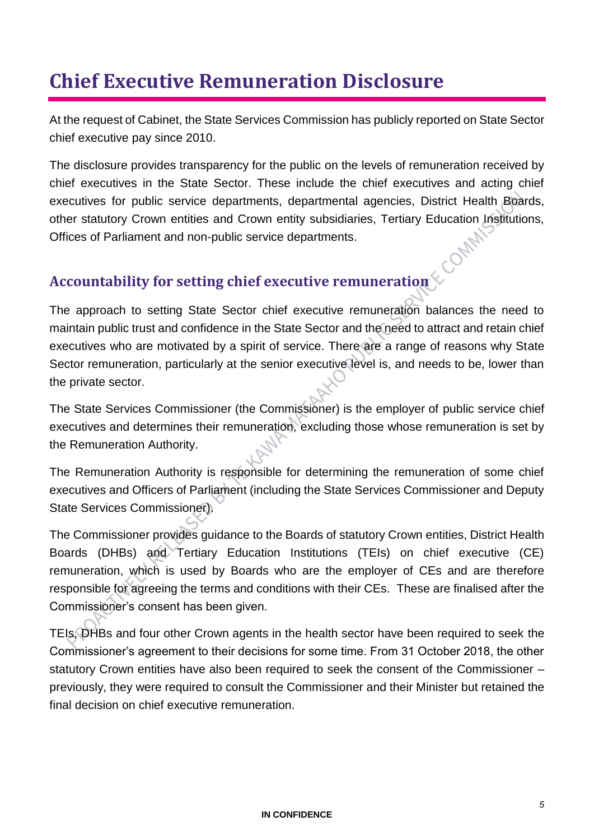# **Chief Executive Remuneration Disclosure**

At the request of Cabinet, the State Services Commission has publicly reported on State Sector chief executive pay since 2010.

The disclosure provides transparency for the public on the levels of remuneration received by chief executives in the State Sector. These include the chief executives and acting chief executives for public service departments, departmental agencies, District Health Boards, other statutory Crown entities and Crown entity subsidiaries, Tertiary Education Institutions,<br>Offices of Parliament and non-public service departments. Offices of Parliament and non-public service departments.

# **Accountability for setting chief executive remuneration**

The approach to setting State Sector chief executive remuneration balances the need to maintain public trust and confidence in the State Sector and the need to attract and retain chief executives who are motivated by a spirit of service. There are a range of reasons why State Sector remuneration, particularly at the senior executive level is, and needs to be, lower than the private sector.

The State Services Commissioner (the Commissioner) is the employer of public service chief executives and determines their remuneration, excluding those whose remuneration is set by the Remuneration Authority.

The Remuneration Authority is responsible for determining the remuneration of some chief executives and Officers of Parliament (including the State Services Commissioner and Deputy State Services Commissioner).

The Commissioner provides guidance to the Boards of statutory Crown entities, District Health Boards (DHBs) and Tertiary Education Institutions (TEIs) on chief executive (CE) remuneration, which is used by Boards who are the employer of CEs and are therefore responsible for agreeing the terms and conditions with their CEs. These are finalised after the Commissioner's consent has been given.

TEIs, DHBs and four other Crown agents in the health sector have been required to seek the Commissioner's agreement to their decisions for some time. From 31 October 2018, the other statutory Crown entities have also been required to seek the consent of the Commissioner – previously, they were required to consult the Commissioner and their Minister but retained the final decision on chief executive remuneration.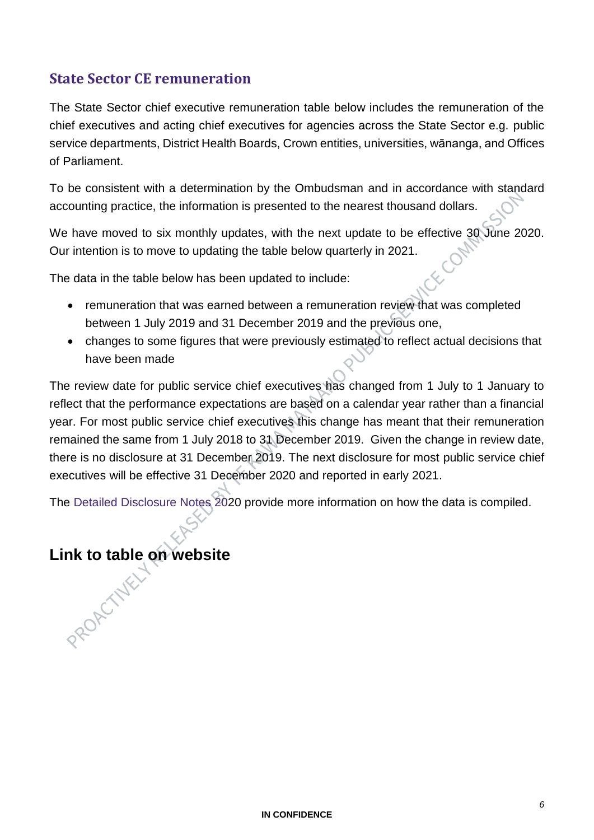## **State Sector CE remuneration**

The State Sector chief executive remuneration table below includes the remuneration of the chief executives and acting chief executives for agencies across the State Sector e.g. public service departments, District Health Boards, Crown entities, universities, wānanga, and Offices of Parliament.

To be consistent with a determination by the Ombudsman and in accordance with standard accounting practice, the information is presented to the nearest thousand dollars.

We have moved to six monthly updates, with the next update to be effective 30 June 2020. Our intention is to move to updating the table below quarterly in 2021.

The data in the table below has been updated to include:

- remuneration that was earned between a remuneration review that was completed between 1 July 2019 and 31 December 2019 and the previous one,
- changes to some figures that were previously estimated to reflect actual decisions that have been made

The review date for public service chief executives has changed from 1 July to 1 January to reflect that the performance expectations are based on a calendar year rather than a financial year. For most public service chief executives this change has meant that their remuneration remained the same from 1 July 2018 to 31 December 2019. Given the change in review date, there is no disclosure at 31 December 2019. The next disclosure for most public service chief executives will be effective 31 December 2020 and reported in early 2021.

The Detailed Disclosure Notes 2020 provide more information on how the data is compiled.

# **Link to table on website**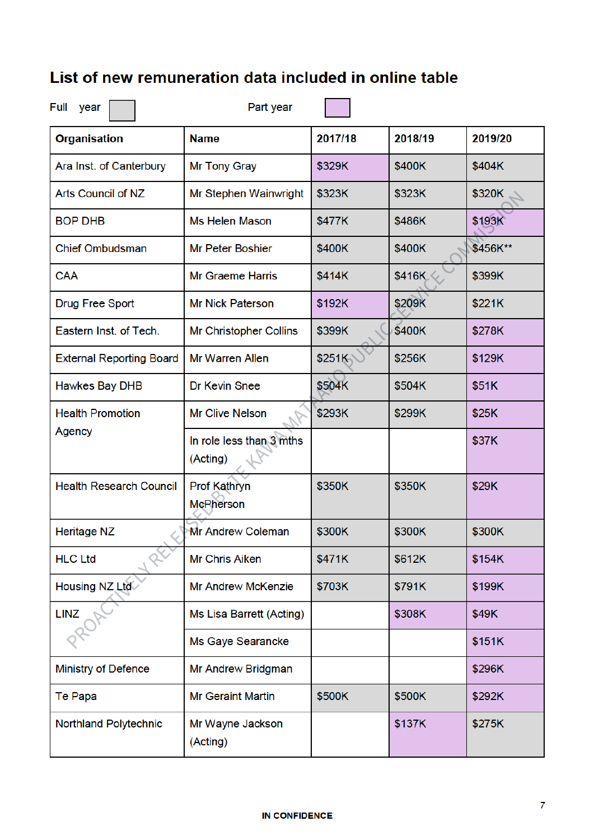# List of new remuneration data included in online table

| Full<br>year                    | Part year                            |         |         |          |
|---------------------------------|--------------------------------------|---------|---------|----------|
| <b>Organisation</b>             | <b>Name</b>                          | 2017/18 | 2018/19 | 2019/20  |
| Ara Inst. of Canterbury         | Mr Tony Gray                         | \$329K  | \$400K  | \$404K   |
| <b>Arts Council of NZ</b>       | Mr Stephen Wainwright                | \$323K  | \$323K  | \$320K   |
| <b>BOP DHB</b>                  | <b>Ms Helen Mason</b>                | \$477K  | \$486K  | \$193K   |
| <b>Chief Ombudsman</b>          | <b>Mr Peter Boshier</b>              | \$400K  | \$400K  | \$456K** |
| <b>CAA</b>                      | <b>Mr Graeme Harris</b>              | \$414K  | \$416K  | \$399K   |
| <b>Drug Free Sport</b>          | <b>Mr Nick Paterson</b>              | \$192K  | \$209K  | \$221K   |
| Eastern Inst. of Tech.          | <b>Mr Christopher Collins</b>        | \$399K  | \$400K  | \$278K   |
| <b>External Reporting Board</b> | <b>Mr Warren Allen</b>               | \$251K  | \$256K  | \$129K   |
| <b>Hawkes Bay DHB</b>           | Dr Kevin Snee                        | \$504K  | \$504K  | \$51K    |
| <b>Health Promotion</b>         | <b>Mr Clive Nelson</b>               | \$293K  | \$299K  | \$25K    |
| Agency                          | In role less than 3 mths<br>(Acting) |         |         | \$37K    |
| <b>Health Research Council</b>  | Prof Kathryn<br><b>McPherson</b>     | \$350K  | \$350K  | \$29K    |
| <b>Heritage NZ</b>              | Nr Andrew ColemanM                   | \$300K  | \$300K  | \$300K   |
| <b>HLC Ltd</b>                  | <b>Mr Chris Aiken</b>                | \$471K  | \$612K  | \$154K   |
| Housing NZ Ltd                  | <b>Mr Andrew McKenzie</b>            | \$703K  | \$791K  | \$199K   |
| <b>LINZ</b>                     | Ms Lisa Barrett (Acting)             |         | \$308K  | \$49K    |
|                                 | Ms Gaye Searancke                    |         |         | \$151K   |
| <b>Ministry of Defence</b>      | Mr Andrew Bridgman                   |         |         | \$296K   |
| Te Papa                         | <b>Mr Geraint Martin</b>             | \$500K  | \$500K  | \$292K   |
| <b>Northland Polytechnic</b>    | Mr Wayne Jackson<br>(Acting)         |         | \$137K  | \$275K   |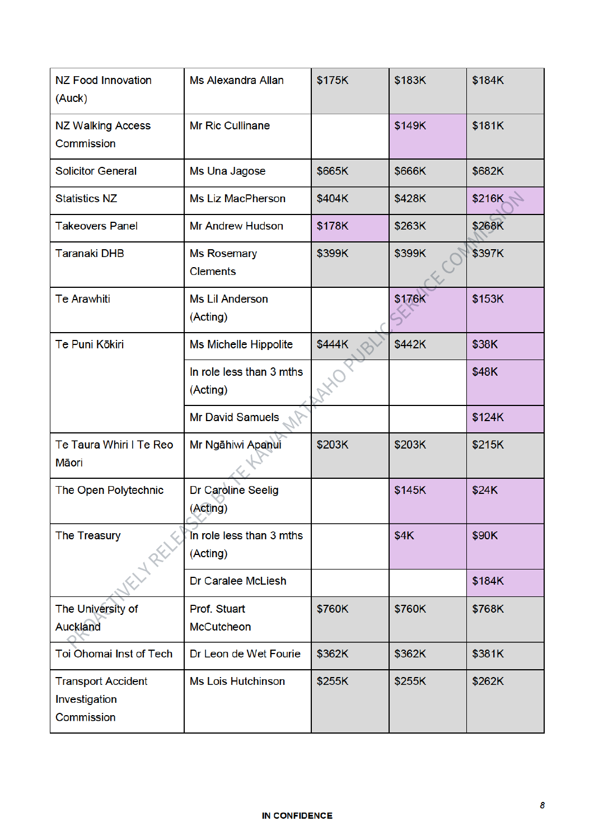| <b>NZ Food Innovation</b><br>(Auck)                      | <b>Ms Alexandra Allan</b>             | \$175K | \$183K | \$184K |
|----------------------------------------------------------|---------------------------------------|--------|--------|--------|
| <b>NZ Walking Access</b><br>Commission                   | <b>Mr Ric Cullinane</b>               |        | \$149K | \$181K |
| <b>Solicitor General</b>                                 | Ms Una Jagose                         | \$665K | \$666K | \$682K |
| <b>Statistics NZ</b>                                     | <b>Ms Liz MacPherson</b>              | \$404K | \$428K | \$216K |
| <b>Takeovers Panel</b>                                   | <b>Mr Andrew Hudson</b>               | \$178K | \$263K | \$268K |
| <b>Taranaki DHB</b>                                      | <b>Ms Rosemary</b><br><b>Clements</b> | \$399K | \$399K | \$397K |
| <b>Te Arawhiti</b>                                       | <b>Ms Lil Anderson</b><br>(Acting)    |        | \$176K | \$153K |
| Te Puni Kōkiri                                           | <b>Ms Michelle Hippolite</b>          | \$444K | \$442K | \$38K  |
|                                                          | In role less than 3 mths<br>(Acting)  |        |        | \$48K  |
|                                                          | <b>Mr David Samuels</b>               |        |        | \$124K |
| Te Taura Whiri I Te Reo<br>Māori                         | Mr Ngāhiwi Apanui                     | \$203K | \$203K | \$215K |
| The Open Polytechnic                                     | Dr Caroline Seelig<br>(Acting)        |        | \$145K | \$24K  |
| <b>The Treasury</b><br>1 REC                             | In role less than 3 mths<br>(Acting)  |        | \$4K   | \$90K  |
|                                                          | Dr Caralee McLiesh                    |        |        | \$184K |
| The University of<br><b>Auckland</b>                     | Prof. Stuart<br>McCutcheon            | \$760K | \$760K | \$768K |
| Toi Ohomai Inst of Tech                                  | Dr Leon de Wet Fourie                 | \$362K | \$362K | \$381K |
| <b>Transport Accident</b><br>Investigation<br>Commission | <b>Ms Lois Hutchinson</b>             | \$255K | \$255K | \$262K |